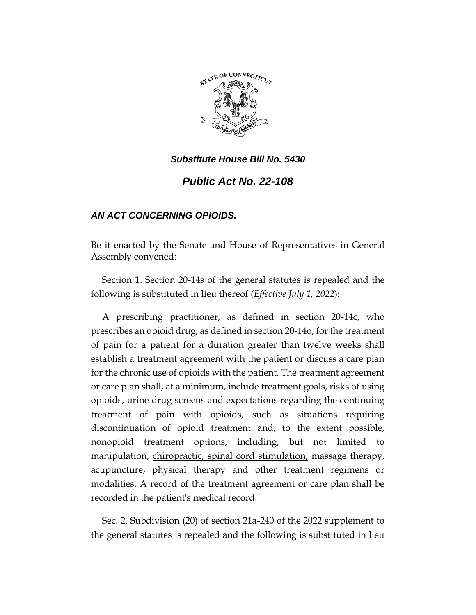

*Public Act No. 22-108*

# *AN ACT CONCERNING OPIOIDS.*

Be it enacted by the Senate and House of Representatives in General Assembly convened:

Section 1. Section 20-14s of the general statutes is repealed and the following is substituted in lieu thereof (*Effective July 1, 2022*):

A prescribing practitioner, as defined in section 20-14c, who prescribes an opioid drug, as defined in section 20-14o, for the treatment of pain for a patient for a duration greater than twelve weeks shall establish a treatment agreement with the patient or discuss a care plan for the chronic use of opioids with the patient. The treatment agreement or care plan shall, at a minimum, include treatment goals, risks of using opioids, urine drug screens and expectations regarding the continuing treatment of pain with opioids, such as situations requiring discontinuation of opioid treatment and, to the extent possible, nonopioid treatment options, including, but not limited to manipulation, chiropractic, spinal cord stimulation, massage therapy, acupuncture, physical therapy and other treatment regimens or modalities. A record of the treatment agreement or care plan shall be recorded in the patient's medical record.

Sec. 2. Subdivision (20) of section 21a-240 of the 2022 supplement to the general statutes is repealed and the following is substituted in lieu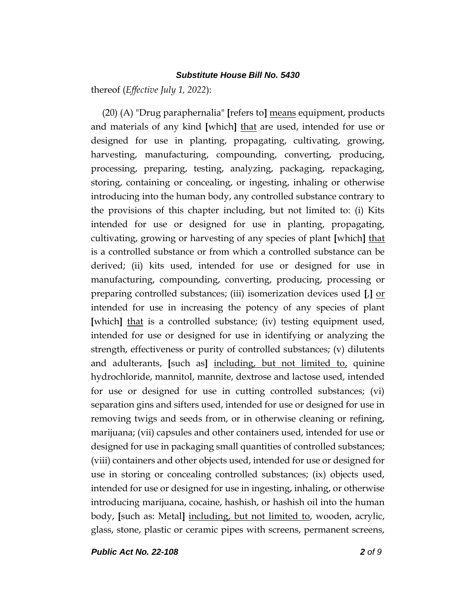thereof (*Effective July 1, 2022*):

(20) (A) "Drug paraphernalia" **[**refers to**]** means equipment, products and materials of any kind **[**which**]** that are used, intended for use or designed for use in planting, propagating, cultivating, growing, harvesting, manufacturing, compounding, converting, producing, processing, preparing, testing, analyzing, packaging, repackaging, storing, containing or concealing, or ingesting, inhaling or otherwise introducing into the human body, any controlled substance contrary to the provisions of this chapter including, but not limited to: (i) Kits intended for use or designed for use in planting, propagating, cultivating, growing or harvesting of any species of plant **[**which**]** that is a controlled substance or from which a controlled substance can be derived; (ii) kits used, intended for use or designed for use in manufacturing, compounding, converting, producing, processing or preparing controlled substances; (iii) isomerization devices used **[**,**]** or intended for use in increasing the potency of any species of plant **[**which**]** that is a controlled substance; (iv) testing equipment used, intended for use or designed for use in identifying or analyzing the strength, effectiveness or purity of controlled substances; (v) dilutents and adulterants, **[**such as**]** including, but not limited to, quinine hydrochloride, mannitol, mannite, dextrose and lactose used, intended for use or designed for use in cutting controlled substances; (vi) separation gins and sifters used, intended for use or designed for use in removing twigs and seeds from, or in otherwise cleaning or refining, marijuana; (vii) capsules and other containers used, intended for use or designed for use in packaging small quantities of controlled substances; (viii) containers and other objects used, intended for use or designed for use in storing or concealing controlled substances; (ix) objects used, intended for use or designed for use in ingesting, inhaling, or otherwise introducing marijuana, cocaine, hashish, or hashish oil into the human body, **[**such as: Metal**]** including, but not limited to, wooden, acrylic, glass, stone, plastic or ceramic pipes with screens, permanent screens,

*Public Act No. 22-108 2 of 9*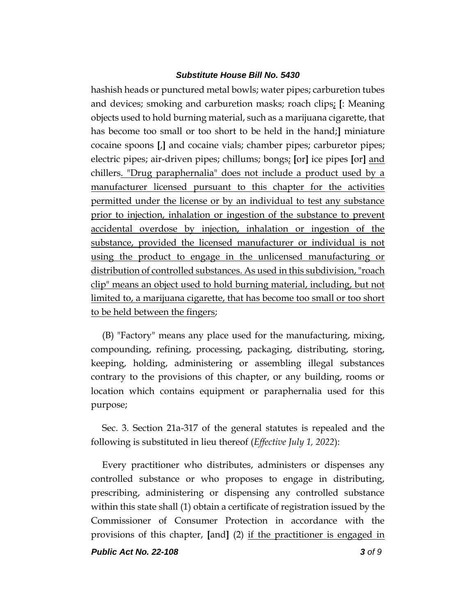hashish heads or punctured metal bowls; water pipes; carburetion tubes and devices; smoking and carburetion masks; roach clips; **[**: Meaning objects used to hold burning material, such as a marijuana cigarette, that has become too small or too short to be held in the hand;**]** miniature cocaine spoons **[**,**]** and cocaine vials; chamber pipes; carburetor pipes; electric pipes; air-driven pipes; chillums; bongs; **[**or**]** ice pipes **[**or**]** and chillers. "Drug paraphernalia" does not include a product used by a manufacturer licensed pursuant to this chapter for the activities permitted under the license or by an individual to test any substance prior to injection, inhalation or ingestion of the substance to prevent accidental overdose by injection, inhalation or ingestion of the substance, provided the licensed manufacturer or individual is not using the product to engage in the unlicensed manufacturing or distribution of controlled substances. As used in this subdivision, "roach clip" means an object used to hold burning material, including, but not limited to, a marijuana cigarette, that has become too small or too short to be held between the fingers;

(B) "Factory" means any place used for the manufacturing, mixing, compounding, refining, processing, packaging, distributing, storing, keeping, holding, administering or assembling illegal substances contrary to the provisions of this chapter, or any building, rooms or location which contains equipment or paraphernalia used for this purpose;

Sec. 3. Section 21a-317 of the general statutes is repealed and the following is substituted in lieu thereof (*Effective July 1, 2022*):

Every practitioner who distributes, administers or dispenses any controlled substance or who proposes to engage in distributing, prescribing, administering or dispensing any controlled substance within this state shall (1) obtain a certificate of registration issued by the Commissioner of Consumer Protection in accordance with the provisions of this chapter, **[**and**]** (2) if the practitioner is engaged in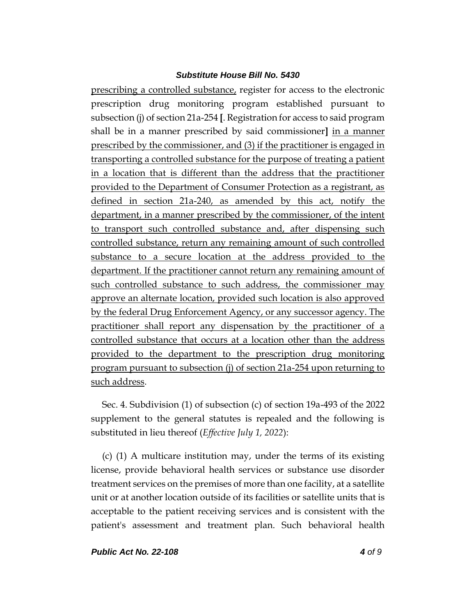prescribing a controlled substance, register for access to the electronic prescription drug monitoring program established pursuant to subsection (j) of section 21a-254 **[**. Registration for access to said program shall be in a manner prescribed by said commissioner**]** in a manner prescribed by the commissioner, and (3) if the practitioner is engaged in transporting a controlled substance for the purpose of treating a patient in a location that is different than the address that the practitioner provided to the Department of Consumer Protection as a registrant, as defined in section 21a-240, as amended by this act, notify the department, in a manner prescribed by the commissioner, of the intent to transport such controlled substance and, after dispensing such controlled substance, return any remaining amount of such controlled substance to a secure location at the address provided to the department. If the practitioner cannot return any remaining amount of such controlled substance to such address, the commissioner may approve an alternate location, provided such location is also approved by the federal Drug Enforcement Agency, or any successor agency. The practitioner shall report any dispensation by the practitioner of a controlled substance that occurs at a location other than the address provided to the department to the prescription drug monitoring program pursuant to subsection (j) of section 21a-254 upon returning to such address.

Sec. 4. Subdivision (1) of subsection (c) of section 19a-493 of the 2022 supplement to the general statutes is repealed and the following is substituted in lieu thereof (*Effective July 1, 2022*):

(c) (1) A multicare institution may, under the terms of its existing license, provide behavioral health services or substance use disorder treatment services on the premises of more than one facility, at a satellite unit or at another location outside of its facilities or satellite units that is acceptable to the patient receiving services and is consistent with the patient's assessment and treatment plan. Such behavioral health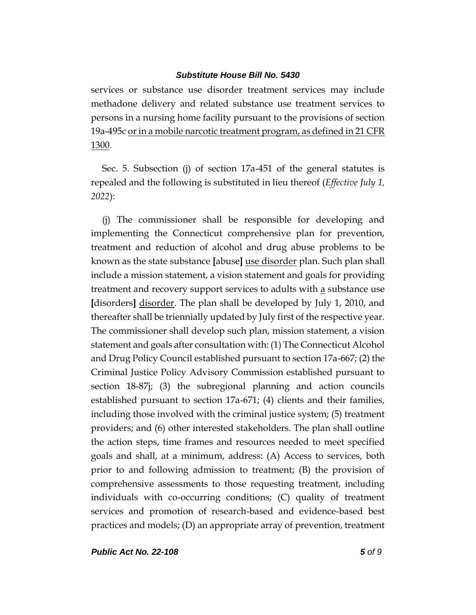services or substance use disorder treatment services may include methadone delivery and related substance use treatment services to persons in a nursing home facility pursuant to the provisions of section 19a-495c or in a mobile narcotic treatment program, as defined in 21 CFR 1300.

Sec. 5. Subsection (j) of section 17a-451 of the general statutes is repealed and the following is substituted in lieu thereof (*Effective July 1, 2022*):

(j) The commissioner shall be responsible for developing and implementing the Connecticut comprehensive plan for prevention, treatment and reduction of alcohol and drug abuse problems to be known as the state substance **[**abuse**]** use disorder plan. Such plan shall include a mission statement, a vision statement and goals for providing treatment and recovery support services to adults with <u>a</u> substance use **[**disorders**]** disorder. The plan shall be developed by July 1, 2010, and thereafter shall be triennially updated by July first of the respective year. The commissioner shall develop such plan, mission statement, a vision statement and goals after consultation with: (1) The Connecticut Alcohol and Drug Policy Council established pursuant to section 17a-667; (2) the Criminal Justice Policy Advisory Commission established pursuant to section 18-87j; (3) the subregional planning and action councils established pursuant to section 17a-671; (4) clients and their families, including those involved with the criminal justice system; (5) treatment providers; and (6) other interested stakeholders. The plan shall outline the action steps, time frames and resources needed to meet specified goals and shall, at a minimum, address: (A) Access to services, both prior to and following admission to treatment; (B) the provision of comprehensive assessments to those requesting treatment, including individuals with co-occurring conditions; (C) quality of treatment services and promotion of research-based and evidence-based best practices and models; (D) an appropriate array of prevention, treatment

*Public Act No. 22-108 5 of 9*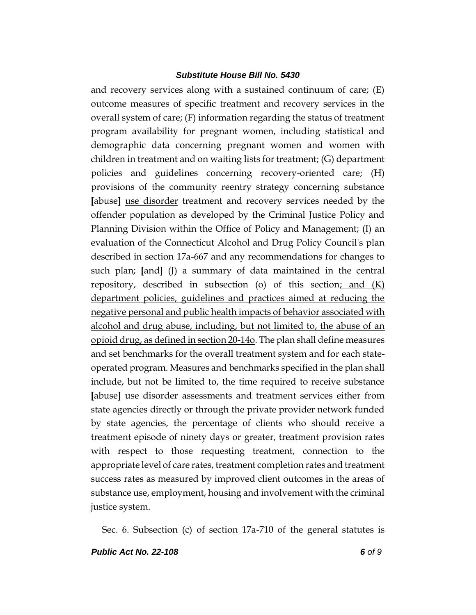and recovery services along with a sustained continuum of care; (E) outcome measures of specific treatment and recovery services in the overall system of care; (F) information regarding the status of treatment program availability for pregnant women, including statistical and demographic data concerning pregnant women and women with children in treatment and on waiting lists for treatment; (G) department policies and guidelines concerning recovery-oriented care; (H) provisions of the community reentry strategy concerning substance **[**abuse**]** use disorder treatment and recovery services needed by the offender population as developed by the Criminal Justice Policy and Planning Division within the Office of Policy and Management; (I) an evaluation of the Connecticut Alcohol and Drug Policy Council's plan described in section 17a-667 and any recommendations for changes to such plan; **[**and**]** (J) a summary of data maintained in the central repository, described in subsection (o) of this section; and  $(K)$ department policies, guidelines and practices aimed at reducing the negative personal and public health impacts of behavior associated with alcohol and drug abuse, including, but not limited to, the abuse of an opioid drug, as defined in section 20-14o. The plan shall define measures and set benchmarks for the overall treatment system and for each stateoperated program. Measures and benchmarks specified in the plan shall include, but not be limited to, the time required to receive substance **[**abuse**]** use disorder assessments and treatment services either from state agencies directly or through the private provider network funded by state agencies, the percentage of clients who should receive a treatment episode of ninety days or greater, treatment provision rates with respect to those requesting treatment, connection to the appropriate level of care rates, treatment completion rates and treatment success rates as measured by improved client outcomes in the areas of substance use, employment, housing and involvement with the criminal justice system.

Sec. 6. Subsection (c) of section 17a-710 of the general statutes is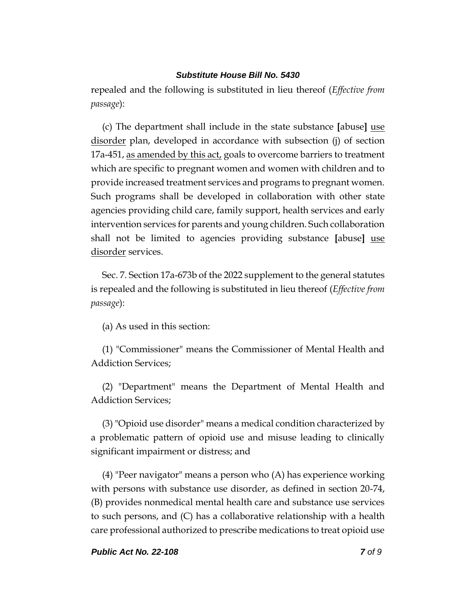repealed and the following is substituted in lieu thereof (*Effective from passage*):

(c) The department shall include in the state substance **[**abuse**]** use disorder plan, developed in accordance with subsection (j) of section 17a-451, as amended by this act, goals to overcome barriers to treatment which are specific to pregnant women and women with children and to provide increased treatment services and programs to pregnant women. Such programs shall be developed in collaboration with other state agencies providing child care, family support, health services and early intervention services for parents and young children. Such collaboration shall not be limited to agencies providing substance **[**abuse**]** use disorder services.

Sec. 7. Section 17a-673b of the 2022 supplement to the general statutes is repealed and the following is substituted in lieu thereof (*Effective from passage*):

(a) As used in this section:

(1) "Commissioner" means the Commissioner of Mental Health and Addiction Services;

(2) "Department" means the Department of Mental Health and Addiction Services;

(3) "Opioid use disorder" means a medical condition characterized by a problematic pattern of opioid use and misuse leading to clinically significant impairment or distress; and

(4) "Peer navigator" means a person who (A) has experience working with persons with substance use disorder, as defined in section 20-74, (B) provides nonmedical mental health care and substance use services to such persons, and (C) has a collaborative relationship with a health care professional authorized to prescribe medications to treat opioid use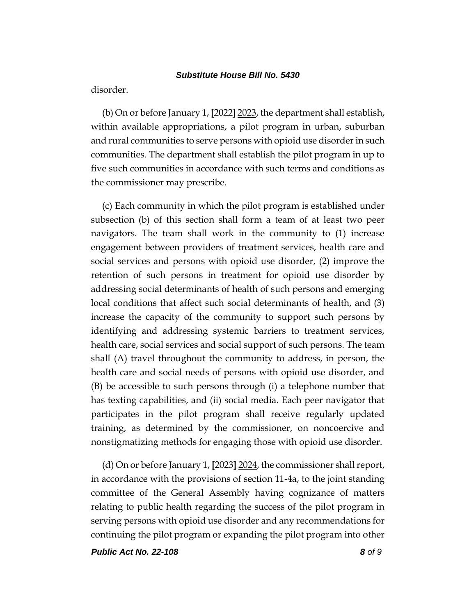disorder.

(b) On or before January 1, **[**2022**]** 2023, the department shall establish, within available appropriations, a pilot program in urban, suburban and rural communities to serve persons with opioid use disorder in such communities. The department shall establish the pilot program in up to five such communities in accordance with such terms and conditions as the commissioner may prescribe.

(c) Each community in which the pilot program is established under subsection (b) of this section shall form a team of at least two peer navigators. The team shall work in the community to (1) increase engagement between providers of treatment services, health care and social services and persons with opioid use disorder, (2) improve the retention of such persons in treatment for opioid use disorder by addressing social determinants of health of such persons and emerging local conditions that affect such social determinants of health, and (3) increase the capacity of the community to support such persons by identifying and addressing systemic barriers to treatment services, health care, social services and social support of such persons. The team shall (A) travel throughout the community to address, in person, the health care and social needs of persons with opioid use disorder, and (B) be accessible to such persons through (i) a telephone number that has texting capabilities, and (ii) social media. Each peer navigator that participates in the pilot program shall receive regularly updated training, as determined by the commissioner, on noncoercive and nonstigmatizing methods for engaging those with opioid use disorder.

(d) On or before January 1, **[**2023**]** 2024, the commissioner shall report, in accordance with the provisions of section 11-4a, to the joint standing committee of the General Assembly having cognizance of matters relating to public health regarding the success of the pilot program in serving persons with opioid use disorder and any recommendations for continuing the pilot program or expanding the pilot program into other

*Public Act No. 22-108 8 of 9*